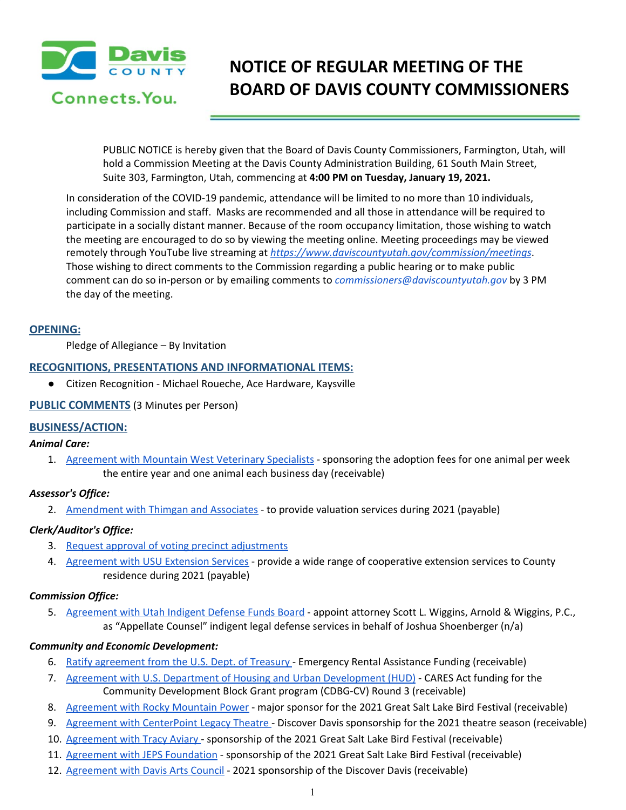

# **NOTICE OF REGULAR MEETING OF THE BOARD OF DAVIS COUNTY COMMISSIONERS**

PUBLIC NOTICE is hereby given that the Board of Davis County Commissioners, Farmington, Utah, will hold a Commission Meeting at the Davis County Administration Building, 61 South Main Street, Suite 303, Farmington, Utah, commencing at **4:00 PM on Tuesday, January 19, 2021.**

In consideration of the COVID-19 pandemic, attendance will be limited to no more than 10 individuals, including Commission and staff. Masks are recommended and all those in attendance will be required to participate in a socially distant manner. Because of the room occupancy limitation, those wishing to watch the meeting are encouraged to do so by viewing the meeting online. Meeting proceedings may be viewed remotely through YouTube live streaming at *<https://www.daviscountyutah.gov/commission/meetings>*. Those wishing to direct comments to the Commission regarding a public hearing or to make public comment can do so in-person or by emailing comments to *commissioners@daviscountyutah.gov* by 3 PM the day of the meeting.

#### **OPENING:**

Pledge of Allegiance – By Invitation

#### **RECOGNITIONS, PRESENTATIONS AND INFORMATIONAL ITEMS:**

● Citizen Recognition - Michael Roueche, Ace Hardware, Kaysville

#### **PUBLIC COMMENTS** (3 Minutes per Person)

#### **BUSINESS/ACTION:**

#### *Animal Care:*

1. [Agreement](https://drive.google.com/file/d/1m8vbrTuqYRFYtmh96h9-cJH7RgQmPSJ2/view?usp=drivesdk) with Mountain West Veterinary Specialists - sponsoring the adoption fees for one animal per week the entire year and one animal each business day (receivable)

#### *Assessor's Office:*

2. [Amendment](https://drive.google.com/file/d/1o6ennt5v-2WeSP-VWhEhqRsZbHDvA9MS/view?usp=drivesdk) with Thimgan and Associates - to provide valuation services during 2021 (payable)

#### *Clerk/Auditor's Office:*

- 3. Request approval of voting precinct [adjustments](https://drive.google.com/file/d/1tfyPhnQ9WsDgXFeoLCJEh9aNv9dicW4w/view?usp=drivesdk)
- 4. [Agreement](https://drive.google.com/file/d/156IbPkP4CB82ofevEyXK853Qcd7yyYwO/view?usp=drivesdk) with USU Extension Services provide a wide range of cooperative extension services to County residence during 2021 (payable)

#### *Commission Office:*

5. [Agreement](https://drive.google.com/file/d/1xIylfSggNrU1rcS2WFc6h2zAGk_GDVfo/view?usp=drivesdk) with Utah Indigent Defense Funds Board - appoint attorney Scott L. Wiggins, Arnold & Wiggins, P.C., as "Appellate Counsel" indigent legal defense services in behalf of Joshua Shoenberger (n/a)

#### *Community and Economic Development:*

- 6. Ratify [agreement](https://drive.google.com/file/d/1zIbQZ6Nl5_R2HE2zTGbHAtVwehzb9I1S/view?usp=drivesdk) from the U.S. Dept. of Treasury Emergency Rental Assistance Funding (receivable)
- 7. Agreement with U.S. Department of Housing and Urban [Development](https://drive.google.com/file/d/1iExddVCvzn0wmKU0PUoBFrJ6Mb9H3hGJ/view?usp=drivesdk) (HUD) CARES Act funding for the Community Development Block Grant program (CDBG-CV) Round 3 (receivable)
- 8. [Agreement](https://drive.google.com/file/d/1_ScW4YcNSNGTcieH-z13RXBUP3wChFgK/view?usp=drivesdk) with Rocky Mountain Power major sponsor for the 2021 Great Salt Lake Bird Festival (receivable)
- 9. Agreement with [CenterPoint](https://drive.google.com/file/d/1yT7qYhQ_TQr432BdOSvtGmPAUMEdi_zg/view?usp=drivesdk) Legacy Theatre Discover Davis sponsorship for the 2021 theatre season (receivable)
- 10. [Agreement](https://drive.google.com/file/d/1nHCGOuH-NMJsyBHVp714IW2T5COBCneq/view?usp=drivesdk) with Tracy Aviary sponsorship of the 2021 Great Salt Lake Bird Festival (receivable)
- 11. Agreement with JEPS [Foundation](https://drive.google.com/file/d/1PBx53E-PIjoS7VFIaHcDQo2u0VrX9nwH/view?usp=drivesdk) sponsorship of the 2021 Great Salt Lake Bird Festival (receivable)
- 12. [Agreement](https://drive.google.com/file/d/1MEEZXBAHRjgGFKbYsFWyE-PqfElbFS0_/view?usp=drivesdk) with Davis Arts Council 2021 sponsorship of the Discover Davis (receivable)